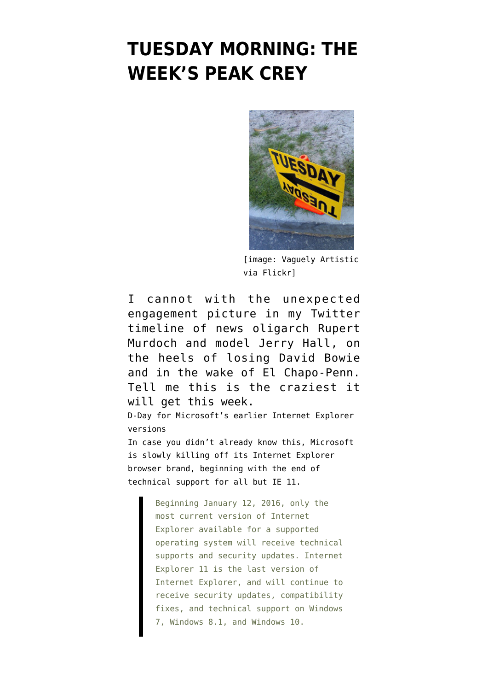## **[TUESDAY MORNING: THE](https://www.emptywheel.net/2016/01/12/tuesday-morning-the-weeks-peak-crey/) [WEEK'S PEAK CREY](https://www.emptywheel.net/2016/01/12/tuesday-morning-the-weeks-peak-crey/)**



[image: [Vaguely Artistic](https://flic.kr/p/3Lgt4p) [via Flickr\]](https://flic.kr/p/3Lgt4p)

I cannot with the unexpected engagement picture in my Twitter timeline of [news oligarch Rupert](http://news.google.com/news/url?sr=1&sa=t&ct2=us%2F0_0_s_10_0_t&usg=AFQjCNG3dFVYc4tkQTwxicJO3SPrUI18wg&did=be137f6829905323&sig2=rh2hAwToWTt8DnLwW_l1yA&cid=52779028032160&ei=XcWUVumnH4iO3QGGv4eIBQ&rt=STORY&vm=STANDARD&url=https%3A%2F%2Fwww.washingtonpost.com%2Fworld%2Frupert-murdoch-and-jerry-hall-to-wed%2F2016%2F01%2F12%2Fbd5be5b6-b8ff-11e5-829c-26ffb874a18d_story.html) [Murdoch and model Jerry Hall,](http://news.google.com/news/url?sr=1&sa=t&ct2=us%2F0_0_s_10_0_t&usg=AFQjCNG3dFVYc4tkQTwxicJO3SPrUI18wg&did=be137f6829905323&sig2=rh2hAwToWTt8DnLwW_l1yA&cid=52779028032160&ei=XcWUVumnH4iO3QGGv4eIBQ&rt=STORY&vm=STANDARD&url=https%3A%2F%2Fwww.washingtonpost.com%2Fworld%2Frupert-murdoch-and-jerry-hall-to-wed%2F2016%2F01%2F12%2Fbd5be5b6-b8ff-11e5-829c-26ffb874a18d_story.html) on the heels of [losing David Bowie](http://www.theguardian.com/music/2016/jan/11/david-bowie-dies-at-the-age-of-69) and in the wake of [El Chapo-Penn](https://www.emptywheel.net/2016/01/12/the-chapo-secrets-the-press-should-be-squealing-about/). Tell me this is the craziest it will get this week. D-Day for Microsoft's earlier Internet Explorer versions In case you didn't already know this, Microsoft is slowly killing off its Internet Explorer browser brand, beginning with [the end of](https://www.microsoft.com/en-us/WindowsForBusiness/End-of-IE-support) [technical support for all but IE 11](https://www.microsoft.com/en-us/WindowsForBusiness/End-of-IE-support).

> Beginning January 12, 2016, only the most current version of Internet Explorer available for a supported operating system will receive technical supports and security updates. Internet Explorer 11 is the last version of Internet Explorer, and will continue to receive security updates, compatibility fixes, and technical support on Windows 7, Windows 8.1, and Windows 10.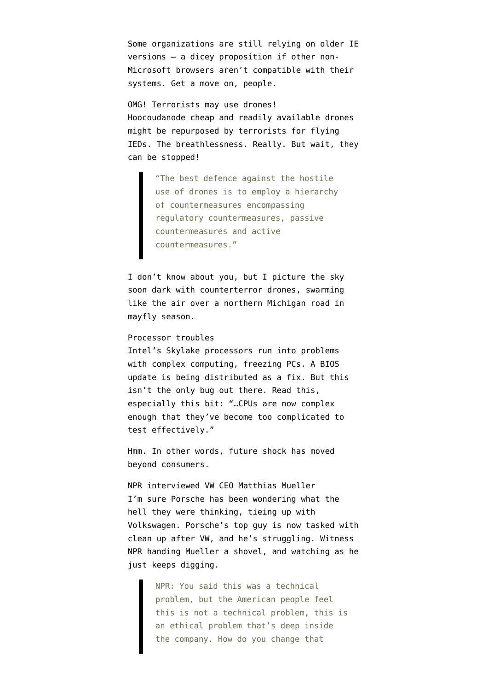Some organizations are [still relying on older IE](http://www.techrepublic.com/article/internet-explorer-how-microsoft-scaling-back-support-is-leaving-big-orgs-playing-catchup/) [versions](http://www.techrepublic.com/article/internet-explorer-how-microsoft-scaling-back-support-is-leaving-big-orgs-playing-catchup/) — a dicey proposition if other non-Microsoft browsers aren't compatible with their systems. Get a move on, people.

OMG! Terrorists may use drones! Hoocoudanode cheap and readily available [drones](http://www.bbc.com/news/technology-35280402) [might be repurposed by terrorists for flying](http://www.bbc.com/news/technology-35280402) [IEDs](http://www.bbc.com/news/technology-35280402). The breathlessness. Really. But wait, they can be stopped!

> "The best defence against the hostile use of drones is to employ a hierarchy of countermeasures encompassing regulatory countermeasures, passive countermeasures and active countermeasures."

I don't know about you, but I picture the sky soon dark with counterterror drones, swarming like the air over a northern Michigan road in mayfly season.

## Processor troubles

Intel's [Skylake processors run into problems](http://arstechnica.com/gadgets/2016/01/intel-skylake-bug-causes-pcs-to-freeze-during-complex-workloads/) with complex computing, freezing PCs. A BIOS update is being distributed as a fix. But this isn't the only bug out there. Read [this,](http://danluu.com/cpu-bugs/) especially this bit: "…CPUs are now complex enough that they've become too complicated to test effectively."

Hmm. In other words, [future shock](https://en.wikipedia.org/wiki/Future_Shock) has moved beyond consumers.

NPR interviewed VW CEO Matthias Mueller I'm sure Porsche has been wondering what the hell they were thinking, tieing up with Volkswagen. Porsche's top guy is now tasked with clean up after VW, and he's struggling. Witness [NPR handing Mueller a shovel](http://www.npr.org/sections/thetwo-way/2016/01/11/462682378/we-didnt-lie-volkswagen-ceo-says-of-emissions-scandal), and watching as he just keeps digging.

> NPR: You said this was a technical problem, but the American people feel this is not a technical problem, this is an ethical problem that's deep inside the company. How do you change that